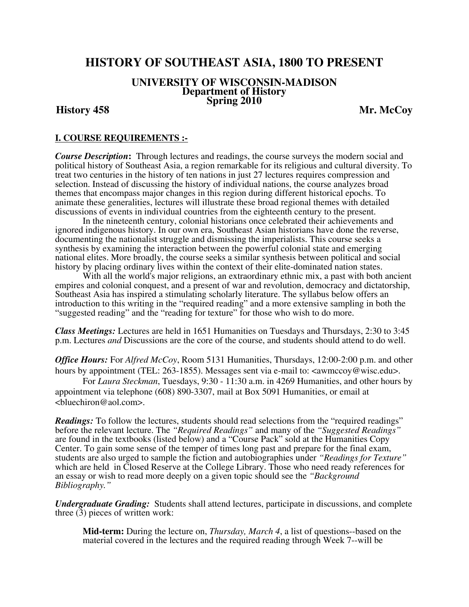# **HISTORY OF SOUTHEAST ASIA, 1800 TO PRESENT**

# **UNIVERSITY OF WISCONSIN-MADISON Department of History Spring 2010 History 458 Mr. McCoy**

### **I. COURSE REQUIREMENTS :-**

*Course Description***:** Through lectures and readings, the course surveys the modern social and political history of Southeast Asia, a region remarkable for its religious and cultural diversity. To treat two centuries in the history of ten nations in just 27 lectures requires compression and selection. Instead of discussing the history of individual nations, the course analyzes broad themes that encompass major changes in this region during different historical epochs. To animate these generalities, lectures will illustrate these broad regional themes with detailed discussions of events in individual countries from the eighteenth century to the present.

 In the nineteenth century, colonial historians once celebrated their achievements and ignored indigenous history. In our own era, Southeast Asian historians have done the reverse, documenting the nationalist struggle and dismissing the imperialists. This course seeks a synthesis by examining the interaction between the powerful colonial state and emerging national elites. More broadly, the course seeks a similar synthesis between political and social history by placing ordinary lives within the context of their elite-dominated nation states.

With all the world's major religions, an extraordinary ethnic mix, a past with both ancient empires and colonial conquest, and a present of war and revolution, democracy and dictatorship, Southeast Asia has inspired a stimulating scholarly literature. The syllabus below offers an introduction to this writing in the "required reading" and a more extensive sampling in both the "suggested reading" and the "reading for texture" for those who wish to do more.

*Class Meetings:* Lectures are held in 1651 Humanities on Tuesdays and Thursdays, 2:30 to 3:45 p.m. Lectures *and* Discussions are the core of the course, and students should attend to do well.

*Office Hours:* For *Alfred McCoy*, Room 5131 Humanities, Thursdays, 12:00-2:00 p.m. and other hours by appointment (TEL: 263-1855). Messages sent via e-mail to: <awmccoy@wisc.edu>. For *Laura Steckman*, Tuesdays, 9:30 - 11:30 a.m. in 4269 Humanities, and other hours by appointment via telephone (608) 890-3307, mail at Box 5091 Humanities, or email at <bluechiron@aol.com>.

*Readings:* To follow the lectures, students should read selections from the "required readings" before the relevant lecture. The *"Required Readings"* and many of the *"Suggested Readings"* are found in the textbooks (listed below) and a "Course Pack" sold at the Humanities Copy Center. To gain some sense of the temper of times long past and prepare for the final exam, students are also urged to sample the fiction and autobiographies under *"Readings for Texture"* which are held in Closed Reserve at the College Library. Those who need ready references for an essay or wish to read more deeply on a given topic should see the *"Background Bibliography."*

*Undergraduate Grading:*Students shall attend lectures, participate in discussions, and complete three (3) pieces of written work:

**Mid-term:** During the lecture on, *Thursday, March 4*, a list of questions--based on the material covered in the lectures and the required reading through Week 7--will be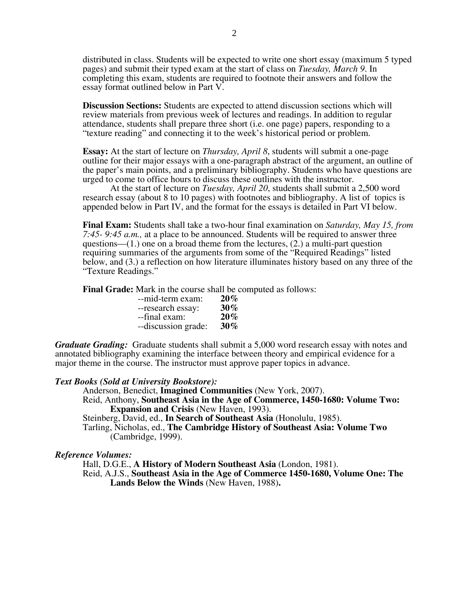distributed in class. Students will be expected to write one short essay (maximum 5 typed pages) and submit their typed exam at the start of class on *Tuesday, March 9*. In completing this exam, students are required to footnote their answers and follow the essay format outlined below in Part V.

**Discussion Sections:** Students are expected to attend discussion sections which will review materials from previous week of lectures and readings. In addition to regular attendance, students shall prepare three short (i.e. one page) papers, responding to a "texture reading" and connecting it to the week's historical period or problem.

**Essay:** At the start of lecture on *Thursday, April 8*, students will submit a one-page outline for their major essays with a one-paragraph abstract of the argument, an outline of the paper's main points, and a preliminary bibliography. Students who have questions are urged to come to office hours to discuss these outlines with the instructor.

At the start of lecture on *Tuesday, April 20*, students shall submit a 2,500 word research essay (about 8 to 10 pages) with footnotes and bibliography. A list of topics is appended below in Part IV, and the format for the essays is detailed in Part VI below.

**Final Exam:** Students shall take a two-hour final examination on *Saturday, May 15, from 7:45- 9:45 a.m.,* at a place to be announced. Students will be required to answer three questions—(1.) one on a broad theme from the lectures, (2.) a multi-part question requiring summaries of the arguments from some of the "Required Readings" listed below, and (3.) a reflection on how literature illuminates history based on any three of the "Texture Readings."

**Final Grade:** Mark in the course shall be computed as follows:

| --mid-term exam:    | $20\%$ |
|---------------------|--------|
| --research essay:   | $30\%$ |
| --final exam:       | $20\%$ |
| --discussion grade: | $30\%$ |

*Graduate Grading:* Graduate students shall submit a 5,000 word research essay with notes and annotated bibliography examining the interface between theory and empirical evidence for a major theme in the course. The instructor must approve paper topics in advance.

#### *Text Books (Sold at University Bookstore):*

Anderson, Benedict, **Imagined Communities** (New York, 2007). Reid, Anthony, **Southeast Asia in the Age of Commerce, 1450-1680: Volume Two: Expansion and Crisis** (New Haven, 1993).

Steinberg, David, ed., **In Search of Southeast Asia** (Honolulu, 1985).

Tarling, Nicholas, ed., **The Cambridge History of Southeast Asia: Volume Two**  (Cambridge, 1999).

#### *Reference Volumes:*

Hall, D.G.E., **A History of Modern Southeast Asia** (London, 1981). Reid, A.J.S., **Southeast Asia in the Age of Commerce 1450-1680, Volume One: The Lands Below the Winds** (New Haven, 1988)**.**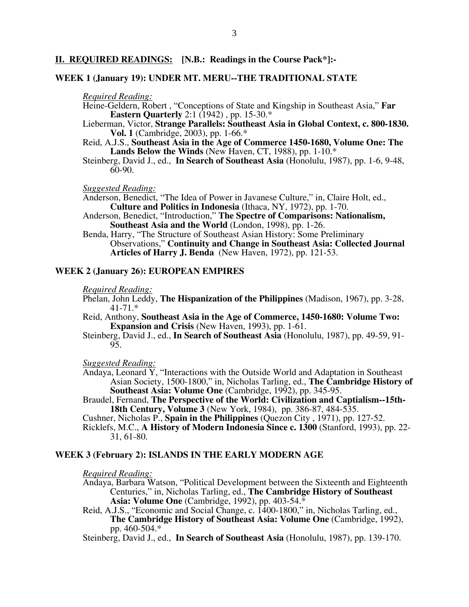### **II. REQUIRED READINGS: [N.B.: Readings in the Course Pack\*]:-**

#### **WEEK 1 (January 19): UNDER MT. MERU--THE TRADITIONAL STATE**

#### *Required Reading:*

- Heine-Geldern, Robert , "Conceptions of State and Kingship in Southeast Asia," **Far Eastern Ouarterly** 2:1 (1942), pp. 15-30.\*
- Lieberman, Victor, **Strange Parallels: Southeast Asia in Global Context, c. 800-1830. Vol. 1** (Cambridge, 2003), pp. 1-66.\*
- Reid, A.J.S., **Southeast Asia in the Age of Commerce 1450-1680, Volume One: The Lands Below the Winds** (New Haven, CT, 1988), pp. 1-10.\*
- Steinberg, David J., ed., **In Search of Southeast Asia** (Honolulu, 1987), pp. 1-6, 9-48, 60-90.

*Suggested Reading:* 

Anderson, Benedict, "The Idea of Power in Javanese Culture," in, Claire Holt, ed., **Culture and Politics in Indonesia** (Ithaca, NY, 1972), pp. 1-70.

- Anderson, Benedict, "Introduction," **The Spectre of Comparisons: Nationalism, Southeast Asia and the World** (London, 1998), pp. 1-26.
- Benda, Harry, "The Structure of Southeast Asian History: Some Preliminary Observations," **Continuity and Change in Southeast Asia: Collected Journal Articles of Harry J. Benda** (New Haven, 1972), pp. 121-53.

#### **WEEK 2 (January 26): EUROPEAN EMPIRES**

#### *Required Reading:*

Phelan, John Leddy, **The Hispanization of the Philippines** (Madison, 1967), pp. 3-28, 41-71.\*

- Reid, Anthony, **Southeast Asia in the Age of Commerce, 1450-1680: Volume Two: Expansion and Crisis** (New Haven, 1993), pp. 1-61.
- Steinberg, David J., ed., **In Search of Southeast Asia** (Honolulu, 1987), pp. 49-59, 91- 95.

*Suggested Reading:* 

- Andaya, Leonard Y, "Interactions with the Outside World and Adaptation in Southeast Asian Society, 1500-1800," in, Nicholas Tarling, ed., **The Cambridge History of Southeast Asia: Volume One** (Cambridge, 1992), pp. 345-95.
- Braudel, Fernand, **The Perspective of the World: Civilization and Captialism--15th-18th Century, Volume 3** (New York, 1984), pp. 386-87, 484-535.

Cushner, Nicholas P., **Spain in the Philippines** (Quezon City , 1971), pp. 127-52.

Ricklefs, M.C., **A History of Modern Indonesia Since c. 1300** (Stanford, 1993), pp. 22- 31, 61-80.

#### **WEEK 3 (February 2): ISLANDS IN THE EARLY MODERN AGE**

#### *Required Reading:*

- Andaya, Barbara Watson, "Political Development between the Sixteenth and Eighteenth Centuries," in, Nicholas Tarling, ed., **The Cambridge History of Southeast Asia: Volume One** (Cambridge, 1992), pp. 403-54.\*
- Reid, A.J.S., "Economic and Social Change, c. 1400-1800," in, Nicholas Tarling, ed., **The Cambridge History of Southeast Asia: Volume One** (Cambridge, 1992), pp. 460-504.\*

Steinberg, David J., ed., **In Search of Southeast Asia** (Honolulu, 1987), pp. 139-170.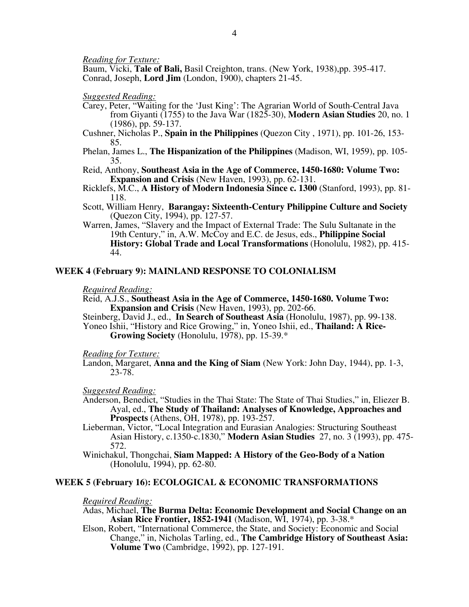*Reading for Texture:* 

Baum, Vicki, **Tale of Bali,** Basil Creighton, trans. (New York, 1938),pp. 395-417. Conrad, Joseph, **Lord Jim** (London, 1900), chapters 21-45.

*Suggested Reading:* 

- Carey, Peter, "Waiting for the 'Just King': The Agrarian World of South-Central Java from Giyanti (1755) to the Java War (1825-30), **Modern Asian Studies** 20, no. 1 (1986), pp. 59-137.
- Cushner, Nicholas P., **Spain in the Philippines** (Quezon City , 1971), pp. 101-26, 153- 85.
- Phelan, James L., **The Hispanization of the Philippines** (Madison, WI, 1959), pp. 105- 35.
- Reid, Anthony, **Southeast Asia in the Age of Commerce, 1450-1680: Volume Two: Expansion and Crisis** (New Haven, 1993), pp. 62-131.
- Ricklefs, M.C., **A History of Modern Indonesia Since c. 1300** (Stanford, 1993), pp. 81- 118.
- Scott, William Henry, **Barangay: Sixteenth-Century Philippine Culture and Society** (Quezon City, 1994), pp. 127-57.
- Warren, James, "Slavery and the Impact of External Trade: The Sulu Sultanate in the 19th Century," in, A.W. McCoy and E.C. de Jesus, eds., **Philippine Social History: Global Trade and Local Transformations** (Honolulu, 1982), pp. 415- 44.

#### **WEEK 4 (February 9): MAINLAND RESPONSE TO COLONIALISM**

#### *Required Reading:*

Reid, A.J.S., **Southeast Asia in the Age of Commerce, 1450-1680. Volume Two: Expansion and Crisis** (New Haven, 1993), pp. 202-66.

Steinberg, David J., ed., **In Search of Southeast Asia** (Honolulu, 1987), pp. 99-138. Yoneo Ishii, "History and Rice Growing," in, Yoneo Ishii, ed., **Thailand: A Rice-**

**Growing Society** (Honolulu, 1978), pp. 15-39.\*

*Reading for Texture:* 

Landon, Margaret, **Anna and the King of Siam** (New York: John Day, 1944), pp. 1-3, 23-78.

*Suggested Reading:* 

Anderson, Benedict, "Studies in the Thai State: The State of Thai Studies," in, Eliezer B. Ayal, ed., **The Study of Thailand: Analyses of Knowledge, Approaches and Prospects** (Athens, OH, 1978), pp. 193-257.

- Lieberman, Victor, "Local Integration and Eurasian Analogies: Structuring Southeast Asian History, c.1350-c.1830," **Modern Asian Studies** 27, no. 3 (1993), pp. 475- 572.
- Winichakul, Thongchai, **Siam Mapped: A History of the Geo-Body of a Nation** (Honolulu, 1994), pp. 62-80.

#### **WEEK 5 (February 16): ECOLOGICAL & ECONOMIC TRANSFORMATIONS**

#### *Required Reading:*

- Adas, Michael, **The Burma Delta: Economic Development and Social Change on an Asian Rice Frontier, 1852-1941** (Madison, WI, 1974), pp. 3-38.\*
- Elson, Robert, "International Commerce, the State, and Society: Economic and Social Change," in, Nicholas Tarling, ed., **The Cambridge History of Southeast Asia: Volume Two** (Cambridge, 1992), pp. 127-191.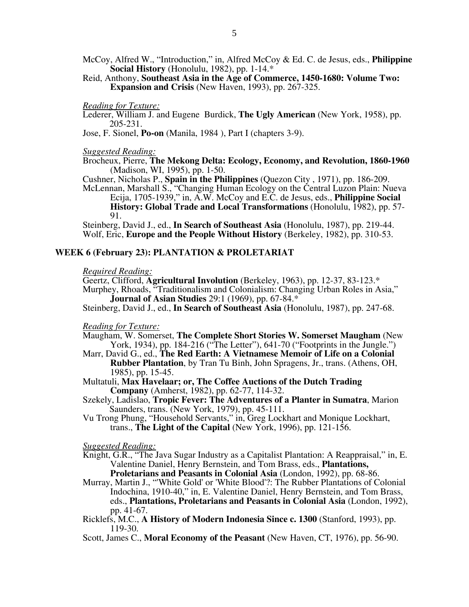- McCoy, Alfred W., "Introduction," in, Alfred McCoy & Ed. C. de Jesus, eds., **Philippine Social History** (Honolulu, 1982), pp. 1-14.\*
- Reid, Anthony, **Southeast Asia in the Age of Commerce, 1450-1680: Volume Two: Expansion and Crisis** (New Haven, 1993), pp. 267-325.

#### *Reading for Texture:*

Lederer, William J. and Eugene Burdick, **The Ugly American** (New York, 1958), pp. 205-231.

Jose, F. Sionel, **Po-on** (Manila, 1984 ), Part I (chapters 3-9).

*Suggested Reading:* 

Brocheux, Pierre, **The Mekong Delta: Ecology, Economy, and Revolution, 1860-1960** (Madison, WI, 1995), pp. 1-50.

Cushner, Nicholas P., **Spain in the Philippines** (Quezon City , 1971), pp. 186-209. McLennan, Marshall S., "Changing Human Ecology on the Central Luzon Plain: Nueva

Ecija, 1705-1939," in, A.W. McCoy and E.C. de Jesus, eds., **Philippine Social History: Global Trade and Local Transformations** (Honolulu, 1982), pp. 57-91.

Steinberg, David J., ed., **In Search of Southeast Asia** (Honolulu, 1987), pp. 219-44. Wolf, Eric, **Europe and the People Without History** (Berkeley, 1982), pp. 310-53.

#### **WEEK 6 (February 23): PLANTATION & PROLETARIAT**

#### *Required Reading:*

Geertz, Clifford, **Agricultural Involution** (Berkeley, 1963), pp. 12-37, 83-123.\* Murphey, Rhoads, "Traditionalism and Colonialism: Changing Urban Roles in Asia," **Journal of Asian Studies** 29:1 (1969), pp. 67-84.\*

Steinberg, David J., ed., **In Search of Southeast Asia** (Honolulu, 1987), pp. 247-68.

*Reading for Texture:* 

- Maugham, W. Somerset, **The Complete Short Stories W. Somerset Maugham** (New York, 1934), pp. 184-216 ("The Letter"), 641-70 ("Footprints in the Jungle.")
- Marr, David G., ed., **The Red Earth: A Vietnamese Memoir of Life on a Colonial Rubber Plantation**, by Tran Tu Binh, John Spragens, Jr., trans. (Athens, OH, 1985), pp. 15-45.
- Multatuli, **Max Havelaar; or, The Coffee Auctions of the Dutch Trading Company** (Amherst, 1982), pp. 62-77, 114-32.
- Szekely, Ladislao, **Tropic Fever: The Adventures of a Planter in Sumatra**, Marion Saunders, trans. (New York, 1979), pp. 45-111.
- Vu Trong Phung, "Household Servants," in, Greg Lockhart and Monique Lockhart, trans., **The Light of the Capital** (New York, 1996), pp. 121-156.

*Suggested Reading:*

- Knight, G.R., "The Java Sugar Industry as a Capitalist Plantation: A Reappraisal," in, E. Valentine Daniel, Henry Bernstein, and Tom Brass, eds., **Plantations, Proletarians and Peasants in Colonial Asia** (London, 1992), pp. 68-86.
- Murray, Martin J., "'White Gold' or 'White Blood'?: The Rubber Plantations of Colonial Indochina, 1910-40," in, E. Valentine Daniel, Henry Bernstein, and Tom Brass, eds., **Plantations, Proletarians and Peasants in Colonial Asia** (London, 1992), pp. 41-67.
- Ricklefs, M.C., **A History of Modern Indonesia Since c. 1300** (Stanford, 1993), pp. 119-30.
- Scott, James C., **Moral Economy of the Peasant** (New Haven, CT, 1976), pp. 56-90.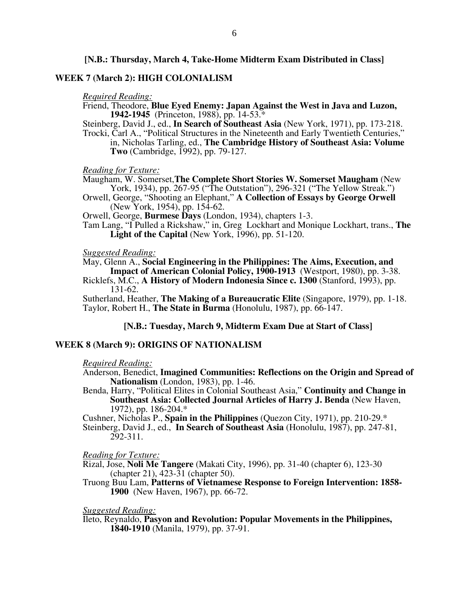#### **[N.B.: Thursday, March 4, Take-Home Midterm Exam Distributed in Class]**

#### **WEEK 7 (March 2): HIGH COLONIALISM**

#### *Required Reading:*

- Friend, Theodore, **Blue Eyed Enemy: Japan Against the West in Java and Luzon, 1942-1945** (Princeton, 1988), pp. 14-53.\*
- Steinberg, David J., ed., **In Search of Southeast Asia** (New York, 1971), pp. 173-218. Trocki, Carl A., "Political Structures in the Nineteenth and Early Twentieth Centuries," in, Nicholas Tarling, ed., **The Cambridge History of Southeast Asia: Volume Two** (Cambridge, 1992), pp. 79-127.

*Reading for Texture:* 

Maugham, W. Somerset,**The Complete Short Stories W. Somerset Maugham** (New York, 1934), pp. 267-95 ("The Outstation"), 296-321 ("The Yellow Streak.")

Orwell, George, "Shooting an Elephant," **A Collection of Essays by George Orwell** (New York, 1954), pp. 154-62.

Orwell, George, **Burmese Days** (London, 1934), chapters 1-3.

Tam Lang, "I Pulled a Rickshaw," in, Greg Lockhart and Monique Lockhart, trans., **The Light of the Capital** (New York, 1996), pp. 51-120.

#### *Suggested Reading:*

May, Glenn A., **Social Engineering in the Philippines: The Aims, Execution, and Impact of American Colonial Policy, 1900-1913** (Westport, 1980), pp. 3-38.

Ricklefs, M.C., **A History of Modern Indonesia Since c. 1300** (Stanford, 1993), pp. 131-62.

Sutherland, Heather, **The Making of a Bureaucratic Elite** (Singapore, 1979), pp. 1-18. Taylor, Robert H., **The State in Burma** (Honolulu, 1987), pp. 66-147.

#### **[N.B.: Tuesday, March 9, Midterm Exam Due at Start of Class]**

#### **WEEK 8 (March 9): ORIGINS OF NATIONALISM**

#### *Required Reading:*

- Anderson, Benedict, **Imagined Communities: Reflections on the Origin and Spread of Nationalism** (London, 1983), pp. 1-46.
- Benda, Harry, "Political Elites in Colonial Southeast Asia," **Continuity and Change in Southeast Asia: Collected Journal Articles of Harry J. Benda** (New Haven, 1972), pp. 186-204.\*

Cushner, Nicholas P., **Spain in the Philippines** (Quezon City, 1971), pp. 210-29.\*

Steinberg, David J., ed., **In Search of Southeast Asia** (Honolulu, 1987), pp. 247-81, 292-311.

*Reading for Texture:*

- Rizal, Jose, **Noli Me Tangere** (Makati City, 1996), pp. 31-40 (chapter 6), 123-30 (chapter 21), 423-31 (chapter 50).
- Truong Buu Lam, **Patterns of Vietnamese Response to Foreign Intervention: 1858- 1900** (New Haven, 1967), pp. 66-72.

*Suggested Reading:* 

Ileto, Reynaldo, **Pasyon and Revolution: Popular Movements in the Philippines, 1840-1910** (Manila, 1979), pp. 37-91.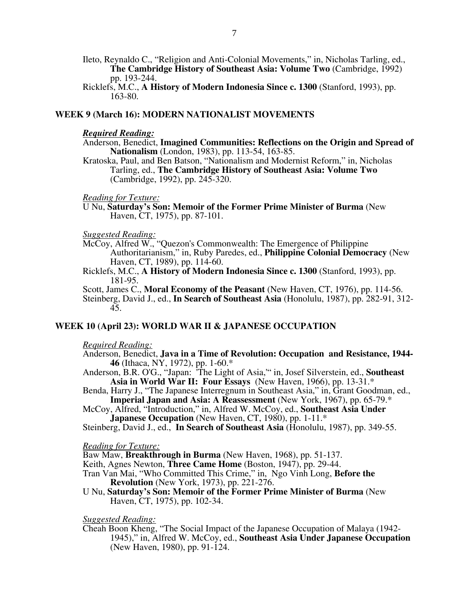- Ileto, Reynaldo C., "Religion and Anti-Colonial Movements," in, Nicholas Tarling, ed., **The Cambridge History of Southeast Asia: Volume Two** (Cambridge, 1992) pp. 193-244.
- Ricklefs, M.C., **A History of Modern Indonesia Since c. 1300** (Stanford, 1993), pp. 163-80.

#### **WEEK 9 (March 16): MODERN NATIONALIST MOVEMENTS**

#### *Required Reading:*

- Anderson, Benedict, **Imagined Communities: Reflections on the Origin and Spread of Nationalism** (London, 1983), pp. 113-54, 163-85.
- Kratoska, Paul, and Ben Batson, "Nationalism and Modernist Reform," in, Nicholas Tarling, ed., **The Cambridge History of Southeast Asia: Volume Two**  (Cambridge, 1992), pp. 245-320.

#### *Reading for Texture:*

U Nu, **Saturday's Son: Memoir of the Former Prime Minister of Burma** (New Haven, CT, 1975), pp. 87-101.

#### *Suggested Reading:*

- McCoy, Alfred W., "Quezon's Commonwealth: The Emergence of Philippine Authoritarianism," in, Ruby Paredes, ed., **Philippine Colonial Democracy** (New Haven, CT, 1989), pp. 114-60.
- Ricklefs, M.C., **A History of Modern Indonesia Since c. 1300** (Stanford, 1993), pp. 181-95.
- Scott, James C., **Moral Economy of the Peasant** (New Haven, CT, 1976), pp. 114-56. Steinberg, David J., ed., **In Search of Southeast Asia** (Honolulu, 1987), pp. 282-91, 312- 45.

#### **WEEK 10 (April 23): WORLD WAR II & JAPANESE OCCUPATION**

#### *Required Reading:*

- Anderson, Benedict, **Java in a Time of Revolution: Occupation and Resistance, 1944- 46** (Ithaca, NY, 1972), pp. 1-60.\*
- Anderson, B.R. O'G., "Japan: 'The Light of Asia,'" in, Josef Silverstein, ed., **Southeast Asia in World War II: Four Essays** (New Haven, 1966), pp. 13-31.\*
- Benda, Harry J., "The Japanese Interregnum in Southeast Asia," in, Grant Goodman, ed., **Imperial Japan and Asia: A Reassessment** (New York, 1967), pp. 65-79.\*
- McCoy, Alfred, "Introduction," in, Alfred W. McCoy, ed., **Southeast Asia Under Japanese Occupation** (New Haven, CT, 1980), pp. 1-11.\*
- Steinberg, David J., ed., **In Search of Southeast Asia** (Honolulu, 1987), pp. 349-55.

#### *Reading for Texture:*

Baw Maw, **Breakthrough in Burma** (New Haven, 1968), pp. 51-137.

- Keith, Agnes Newton, **Three Came Home** (Boston, 1947), pp. 29-44.
- Tran Van Mai, "Who Committed This Crime," in, Ngo Vinh Long, **Before the Revolution** (New York, 1973), pp. 221-276.
- U Nu, **Saturday's Son: Memoir of the Former Prime Minister of Burma** (New Haven, CT, 1975), pp. 102-34.

#### *Suggested Reading:*

Cheah Boon Kheng, "The Social Impact of the Japanese Occupation of Malaya (1942- 1945)," in, Alfred W. McCoy, ed., **Southeast Asia Under Japanese Occupation** (New Haven, 1980), pp. 91-124.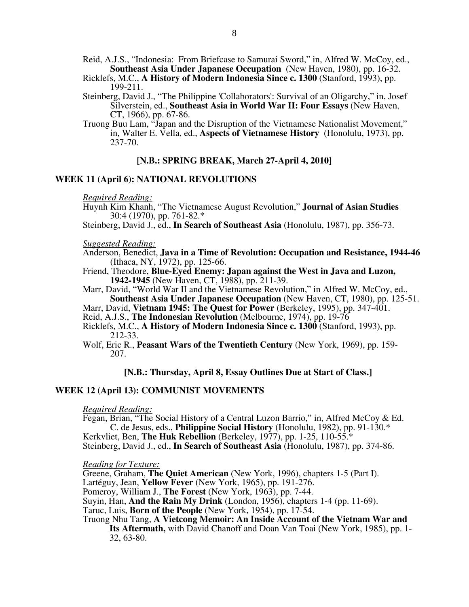Reid, A.J.S., "Indonesia: From Briefcase to Samurai Sword," in, Alfred W. McCoy, ed., **Southeast Asia Under Japanese Occupation** (New Haven, 1980), pp. 16-32.

Ricklefs, M.C., **A History of Modern Indonesia Since c. 1300** (Stanford, 1993), pp. 199-211.

Steinberg, David J., "The Philippine 'Collaborators': Survival of an Oligarchy," in, Josef Silverstein, ed., **Southeast Asia in World War II: Four Essays** (New Haven, CT, 1966), pp. 67-86.

Truong Buu Lam, "Japan and the Disruption of the Vietnamese Nationalist Movement," in, Walter E. Vella, ed., **Aspects of Vietnamese History**(Honolulu, 1973), pp. 237-70.

#### **[N.B.: SPRING BREAK, March 27-April 4, 2010]**

#### **WEEK 11 (April 6): NATIONAL REVOLUTIONS**

*Required Reading:*

Huynh Kim Khanh, "The Vietnamese August Revolution," **Journal of Asian Studies**  30:4 (1970), pp. 761-82.\*

Steinberg, David J., ed., **In Search of Southeast Asia** (Honolulu, 1987), pp. 356-73.

*Suggested Reading:* 

Anderson, Benedict, **Java in a Time of Revolution: Occupation and Resistance, 1944-46**  (Ithaca, NY, 1972), pp. 125-66.

Friend, Theodore, **Blue-Eyed Enemy: Japan against the West in Java and Luzon, 1942-1945** (New Haven, CT, 1988), pp. 211-39.

Marr, David, "World War II and the Vietnamese Revolution," in Alfred W. McCoy, ed., **Southeast Asia Under Japanese Occupation** (New Haven, CT, 1980), pp. 125-51.

Marr, David, **Vietnam 1945: The Quest for Power** (Berkeley, 1995), pp. 347-401.

Reid, A.J.S., **The Indonesian Revolution** (Melbourne, 1974), pp. 19-76

Ricklefs, M.C., **A History of Modern Indonesia Since c. 1300** (Stanford, 1993), pp. 212-33.

Wolf, Eric R., **Peasant Wars of the Twentieth Century** (New York, 1969), pp. 159- 207.

#### **[N.B.: Thursday, April 8, Essay Outlines Due at Start of Class.]**

#### **WEEK 12 (April 13): COMMUNIST MOVEMENTS**

#### *Required Reading:*

Fegan, Brian, "The Social History of a Central Luzon Barrio," in, Alfred McCoy & Ed. C. de Jesus, eds., **Philippine Social History** (Honolulu, 1982), pp. 91-130.\*

Kerkvliet, Ben, **The Huk Rebellion** (Berkeley, 1977), pp. 1-25, 110-55.\* Steinberg, David J., ed., **In Search of Southeast Asia** (Honolulu, 1987), pp. 374-86.

*Reading for Texture:*

Greene, Graham, **The Quiet American** (New York, 1996), chapters 1-5 (Part I).

Lartéguy, Jean, **Yellow Fever** (New York, 1965), pp. 191-276.

Pomeroy, William J., **The Forest** (New York, 1963), pp. 7-44.

Suyin, Han, **And the Rain My Drink** (London, 1956), chapters 1-4 (pp. 11-69).

Taruc, Luis, **Born of the People** (New York, 1954), pp. 17-54.

Truong Nhu Tang, **A Vietcong Memoir: An Inside Account of the Vietnam War and Its Aftermath,** with David Chanoff and Doan Van Toai (New York, 1985), pp. 1- 32, 63-80.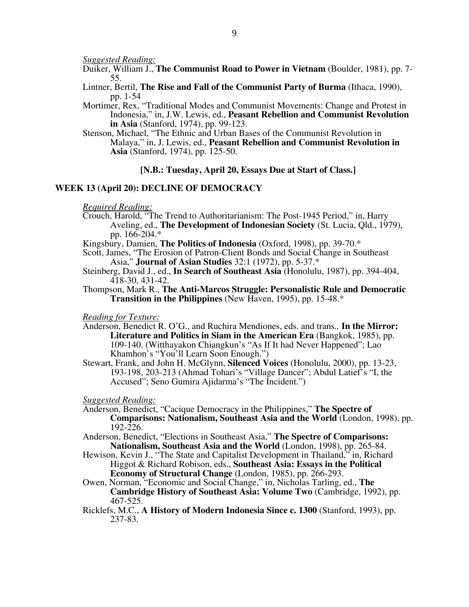*Suggested Reading:*

- Duiker, William J., **The Communist Road to Power in Vietnam** (Boulder, 1981), pp. 7- 55.
- Lintner, Bertil, **The Rise and Fall of the Communist Party of Burma** (Ithaca, 1990), pp. 1-54
- Mortimer, Rex, "Traditional Modes and Communist Movements: Change and Protest in Indonesia," in, J.W. Lewis, ed., **Peasant Rebellion and Communist Revolution in Asia** (Stanford, 1974), pp. 99-123.
- Stenson, Michael, "The Ethnic and Urban Bases of the Communist Revolution in Malaya," in, J. Lewis, ed., **Peasant Rebellion and Communist Revolution in Asia** (Stanford, 1974), pp. 125-50.

#### **[N.B.: Tuesday, April 20, Essays Due at Start of Class.]**

#### **WEEK 13 (April 20): DECLINE OF DEMOCRACY**

#### *Required Reading:*

- Crouch, Harold, "The Trend to Authoritarianism: The Post-1945 Period," in, Harry Aveling, ed., **The Development of Indonesian Society** (St. Lucia, Qld., 1979), pp. 166-204.\*
- Kingsbury, Damien, **The Politics of Indonesia** (Oxford, 1998), pp. 39-70.\*
- Scott, James, "The Erosion of Patron-Client Bonds and Social Change in Southeast Asia," **Journal of Asian Studies** 32:1 (1972), pp. 5-37.\*
- Steinberg, David J., ed., **In Search of Southeast Asia** (Honolulu, 1987), pp. 394-404, 418-30, 431-42.
- Thompson, Mark R., **The Anti-Marcos Struggle: Personalistic Rule and Democratic Transition in the Philippines** (New Haven, 1995), pp. 15-48.\*

*Reading for Texture:*

- Anderson, Benedict R. O'G., and Ruchira Mendiones, eds. and trans*.,* **In the Mirror: Literature and Politics in Siam in the American Era** (Bangkok, 1985), pp. 109-140. (Witthayakon Chiangkun's "As If It had Never Happened"; Lao Khamhon's "You'll Learn Soon Enough.")
- Stewart, Frank, and John H. McGlynn, **Silenced Voices** (Honolulu, 2000), pp. 13-23, 193-198, 203-213 (Ahmad Tohari's "Village Dancer"; Abdul Latief's "I, the Accused"; Seno Gumira Ajidarma's "The Incident.")

#### *Suggested Reading:*

- Anderson, Benedict, "Cacique Democracy in the Philippines," **The Spectre of Comparisons: Nationalism, Southeast Asia and the World** (London, 1998), pp.  $192 - 226$ .
- Anderson, Benedict, "Elections in Southeast Asia," **The Spectre of Comparisons: Nationalism, Southeast Asia and the World** (London, 1998), pp. 265-84.
- Hewison, Kevin J., "The State and Capitalist Development in Thailand," in, Richard Higgot & Richard Robison, eds., **Southeast Asia: Essays in the Political Economy of Structural Change** (London, 1985), pp. 266-293.
- Owen, Norman, "Economic and Social Change," in, Nicholas Tarling, ed., **The Cambridge History of Southeast Asia: Volume Two** (Cambridge, 1992), pp. 467-525.
- Ricklefs, M.C., **A History of Modern Indonesia Since c. 1300** (Stanford, 1993), pp. 237-83.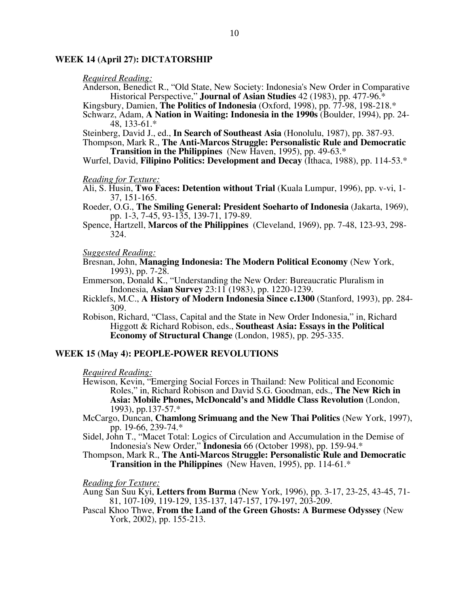#### **WEEK 14 (April 27): DICTATORSHIP**

#### *Required Reading:*

Anderson, Benedict R., "Old State, New Society: Indonesia's New Order in Comparative Historical Perspective," **Journal of Asian Studies** 42 (1983), pp. 477-96.\*

Kingsbury, Damien, **The Politics of Indonesia** (Oxford, 1998), pp. 77-98, 198-218.\*

Schwarz, Adam, **A Nation in Waiting: Indonesia in the 1990s** (Boulder, 1994), pp. 24- 48, 133-61.\*

Steinberg, David J., ed., **In Search of Southeast Asia** (Honolulu, 1987), pp. 387-93.

Thompson, Mark R., **The Anti-Marcos Struggle: Personalistic Rule and Democratic Transition in the Philippines** (New Haven, 1995), pp. 49-63.\*

Wurfel, David, **Filipino Politics: Development and Decay** (Ithaca, 1988), pp. 114-53.\*

#### *Reading for Texture:*

Ali, S. Husin, **Two Faces: Detention without Trial** (Kuala Lumpur, 1996), pp. v-vi, 1- 37, 151-165.

Roeder, O.G., **The Smiling General: President Soeharto of Indonesia** (Jakarta, 1969), pp. 1-3, 7-45, 93-135, 139-71, 179-89.

Spence, Hartzell, **Marcos of the Philippines** (Cleveland, 1969), pp. 7-48, 123-93, 298- 324.

#### *Suggested Reading:*

Bresnan, John, **Managing Indonesia: The Modern Political Economy** (New York, 1993), pp. 7-28.

Emmerson, Donald K., "Understanding the New Order: Bureaucratic Pluralism in Indonesia, **Asian Survey** 23:11 (1983), pp. 1220-1239.

Ricklefs, M.C., **A History of Modern Indonesia Since c.1300** (Stanford, 1993), pp. 284- 309.

Robison, Richard, "Class, Capital and the State in New Order Indonesia," in, Richard Higgott & Richard Robison, eds., **Southeast Asia: Essays in the Political Economy of Structural Change** (London, 1985), pp. 295-335.

#### **WEEK 15 (May 4): PEOPLE-POWER REVOLUTIONS**

*Required Reading:*

Hewison, Kevin, "Emerging Social Forces in Thailand: New Political and Economic Roles," in, Richard Robison and David S.G. Goodman, eds., **The New Rich in Asia: Mobile Phones, McDoncald's and Middle Class Revolution** (London, 1993), pp.137-57.\*

McCargo, Duncan, **Chamlong Srimuang and the New Thai Politics** (New York, 1997), pp. 19-66, 239-74.\*

Sidel, John T., "Macet Total: Logics of Circulation and Accumulation in the Demise of Indonesia's New Order," **Indonesia** 66 (October 1998), pp. 159-94.\*

Thompson, Mark R., **The Anti-Marcos Struggle: Personalistic Rule and Democratic Transition in the Philippines** (New Haven, 1995), pp. 114-61.\*

*Reading for Texture:*

Aung San Suu Kyi, **Letters from Burma** (New York, 1996), pp. 3-17, 23-25, 43-45, 71- 81, 107-109, 119-129, 135-137, 147-157, 179-197, 203-209.

Pascal Khoo Thwe, **From the Land of the Green Ghosts: A Burmese Odyssey** (New York, 2002), pp. 155-213.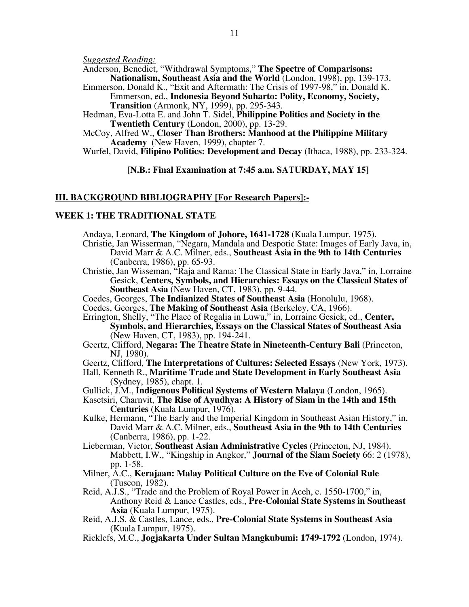*Suggested Reading:* 

Anderson, Benedict, "Withdrawal Symptoms," **The Spectre of Comparisons:** 

**Nationalism, Southeast Asia and the World** (London, 1998), pp. 139-173. Emmerson, Donald K., "Exit and Aftermath: The Crisis of 1997-98," in, Donald K.

Emmerson, ed., **Indonesia Beyond Suharto: Polity, Economy, Society, Transition** (Armonk, NY, 1999), pp. 295-343.

Hedman, Eva-Lotta E. and John T. Sidel, **Philippine Politics and Society in the Twentieth Century** (London, 2000), pp. 13-29.

McCoy, Alfred W., **Closer Than Brothers: Manhood at the Philippine Military Academy** (New Haven, 1999), chapter 7.

Wurfel, David, **Filipino Politics: Development and Decay** (Ithaca, 1988), pp. 233-324.

**[N.B.: Final Examination at 7:45 a.m. SATURDAY, MAY 15]**

#### **III. BACKGROUND BIBLIOGRAPHY [For Research Papers]:-**

#### **WEEK 1: THE TRADITIONAL STATE**

Andaya, Leonard, **The Kingdom of Johore, 1641-1728** (Kuala Lumpur, 1975).

- Christie, Jan Wisserman, "Negara, Mandala and Despotic State: Images of Early Java, in, David Marr & A.C. Milner, eds., **Southeast Asia in the 9th to 14th Centuries**  (Canberra, 1986), pp. 65-93.
- Christie, Jan Wisseman, "Raja and Rama: The Classical State in Early Java," in, Lorraine Gesick, **Centers, Symbols, and Hierarchies: Essays on the Classical States of Southeast Asia** (New Haven, CT, 1983), pp. 9-44.
- Coedes, Georges, **The Indianized States of Southeast Asia** (Honolulu, 1968).
- Coedes, Georges, **The Making of Southeast Asia** (Berkeley, CA, 1966).

Errington, Shelly, "The Place of Regalia in Luwu," in, Lorraine Gesick, ed., **Center, Symbols, and Hierarchies, Essays on the Classical States of Southeast Asia**  (New Haven, CT, 1983), pp. 194-241.

- Geertz, Clifford, **Negara: The Theatre State in Nineteenth-Century Bali** (Princeton, NJ, 1980).
- Geertz, Clifford, **The Interpretations of Cultures: Selected Essays** (New York, 1973).
- Hall, Kenneth R., **Maritime Trade and State Development in Early Southeast Asia**  (Sydney, 1985), chapt. 1.
- Gullick, J.M., **Indigenous Political Systems of Western Malaya** (London, 1965).
- Kasetsiri, Charnvit, **The Rise of Ayudhya: A History of Siam in the 14th and 15th Centuries** (Kuala Lumpur, 1976).
- Kulke, Hermann, "The Early and the Imperial Kingdom in Southeast Asian History," in, David Marr & A.C. Milner, eds., **Southeast Asia in the 9th to 14th Centuries**  (Canberra, 1986), pp. 1-22.

Lieberman, Victor, **Southeast Asian Administrative Cycles** (Princeton, NJ, 1984). Mabbett, I.W., "Kingship in Angkor," **Journal of the Siam Society** 66: 2 (1978), pp. 1-58.

- Milner, A.C., **Kerajaan: Malay Political Culture on the Eve of Colonial Rule**  (Tuscon, 1982).
- Reid, A.J.S., "Trade and the Problem of Royal Power in Aceh, c. 1550-1700," in, Anthony Reid & Lance Castles, eds., **Pre-Colonial State Systems in Southeast Asia** (Kuala Lumpur, 1975).
- Reid, A.J.S. & Castles, Lance, eds., **Pre-Colonial State Systems in Southeast Asia**  (Kuala Lumpur, 1975).
- Ricklefs, M.C., **Jogjakarta Under Sultan Mangkubumi: 1749-1792** (London, 1974).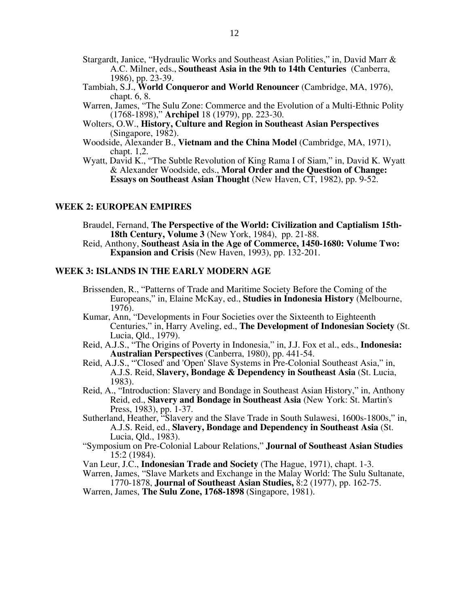- Stargardt, Janice, "Hydraulic Works and Southeast Asian Polities," in, David Marr & A.C. Milner, eds., **Southeast Asia in the 9th to 14th Centuries** (Canberra, 1986), pp. 23-39.
- Tambiah, S.J., **World Conqueror and World Renouncer** (Cambridge, MA, 1976), chapt. 6, 8.
- Warren, James, "The Sulu Zone: Commerce and the Evolution of a Multi-Ethnic Polity (1768-1898)," **Archipel** 18 (1979), pp. 223-30.
- Wolters, O.W., **History, Culture and Region in Southeast Asian Perspectives**  (Singapore, 1982).
- Woodside, Alexander B., **Vietnam and the China Model** (Cambridge, MA, 1971), chapt. 1,2.
- Wyatt, David K., "The Subtle Revolution of King Rama I of Siam," in, David K. Wyatt & Alexander Woodside, eds., **Moral Order and the Question of Change: Essays on Southeast Asian Thought** (New Haven, CT, 1982), pp. 9-52.

#### **WEEK 2: EUROPEAN EMPIRES**

Braudel, Fernand, **The Perspective of the World: Civilization and Captialism 15th-18th Century, Volume 3** (New York, 1984), pp. 21-88.

Reid, Anthony, **Southeast Asia in the Age of Commerce, 1450-1680: Volume Two: Expansion and Crisis** (New Haven, 1993), pp. 132-201.

#### **WEEK 3: ISLANDS IN THE EARLY MODERN AGE**

- Brissenden, R., "Patterns of Trade and Maritime Society Before the Coming of the Europeans," in, Elaine McKay, ed., **Studies in Indonesia History** (Melbourne, 1976).
- Kumar, Ann, "Developments in Four Societies over the Sixteenth to Eighteenth Centuries," in, Harry Aveling, ed., **The Development of Indonesian Society** (St. Lucia, Qld., 1979).
- Reid, A.J.S., "The Origins of Poverty in Indonesia," in, J.J. Fox et al., eds., **Indonesia: Australian Perspectives** (Canberra, 1980), pp. 441-54.
- Reid, A.J.S., "'Closed' and 'Open' Slave Systems in Pre-Colonial Southeast Asia," in, A.J.S. Reid, **Slavery, Bondage & Dependency in Southeast Asia** (St. Lucia, 1983).
- Reid, A., "Introduction: Slavery and Bondage in Southeast Asian History," in, Anthony Reid, ed., **Slavery and Bondage in Southeast Asia** (New York: St. Martin's Press, 1983), pp. 1-37.

Sutherland, Heather, "Slavery and the Slave Trade in South Sulawesi, 1600s-1800s," in, A.J.S. Reid, ed., **Slavery, Bondage and Dependency in Southeast Asia** (St. Lucia, Qld., 1983).

- "Symposium on Pre-Colonial Labour Relations," **Journal of Southeast Asian Studies** 15:2 (1984).
- Van Leur, J.C., **Indonesian Trade and Society** (The Hague, 1971), chapt. 1-3.

Warren, James, "Slave Markets and Exchange in the Malay World: The Sulu Sultanate, 1770-1878, **Journal of Southeast Asian Studies,** 8:2 (1977), pp. 162-75.

Warren, James, **The Sulu Zone, 1768-1898** (Singapore, 1981).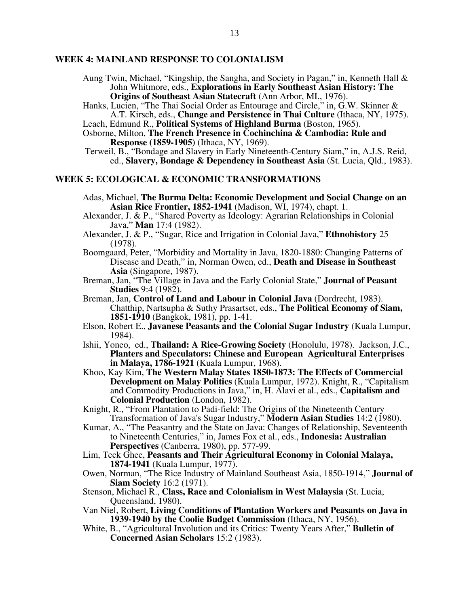#### **WEEK 4: MAINLAND RESPONSE TO COLONIALISM**

- Aung Twin, Michael, "Kingship, the Sangha, and Society in Pagan," in, Kenneth Hall & John Whitmore, eds., **Explorations in Early Southeast Asian History: The Origins of Southeast Asian Statecraft** (Ann Arbor, MI., 1976).
- Hanks, Lucien, "The Thai Social Order as Entourage and Circle," in, G.W. Skinner & A.T. Kirsch, eds., **Change and Persistence in Thai Culture** (Ithaca, NY, 1975).
- Leach, Edmund R., **Political Systems of Highland Burma** (Boston, 1965).
- Osborne, Milton, **The French Presence in Cochinchina & Cambodia: Rule and Response (1859-1905)** (Ithaca, NY, 1969).
- Terweil, B., "Bondage and Slavery in Early Nineteenth-Century Siam," in, A.J.S. Reid, ed., **Slavery, Bondage & Dependency in Southeast Asia** (St. Lucia, Qld., 1983).

#### **WEEK 5: ECOLOGICAL & ECONOMIC TRANSFORMATIONS**

- Adas, Michael, **The Burma Delta: Economic Development and Social Change on an Asian Rice Frontier, 1852-1941** (Madison, WI, 1974), chapt. 1.
- Alexander, J. & P., "Shared Poverty as Ideology: Agrarian Relationships in Colonial Java," **Man** 17:4 (1982).
- Alexander, J. & P., "Sugar, Rice and Irrigation in Colonial Java," **Ethnohistory** 25 (1978).
- Boomgaard, Peter, "Morbidity and Mortality in Java, 1820-1880: Changing Patterns of Disease and Death," in, Norman Owen, ed., **Death and Disease in Southeast Asia** (Singapore, 1987).
- Breman, Jan, "The Village in Java and the Early Colonial State," **Journal of Peasant Studies** 9:4 (1982).
- Breman, Jan, **Control of Land and Labour in Colonial Java** (Dordrecht, 1983). Chatthip, Nartsupha & Suthy Prasartset, eds., **The Political Economy of Siam, 1851-1910** (Bangkok, 1981), pp. 1-41.
- Elson, Robert E., **Javanese Peasants and the Colonial Sugar Industry** (Kuala Lumpur, 1984).
- Ishii, Yoneo, ed., **Thailand: A Rice-Growing Society** (Honolulu, 1978). Jackson, J.C., **Planters and Speculators: Chinese and European Agricultural Enterprises in Malaya, 1786-1921** (Kuala Lumpur, 1968).
- Khoo, Kay Kim, **The Western Malay States 1850-1873: The Effects of Commercial Development on Malay Politics** (Kuala Lumpur, 1972). Knight, R., "Capitalism and Commodity Productions in Java," in, H. Alavi et al., eds., **Capitalism and Colonial Production** (London, 1982).
- Knight, R., "From Plantation to Padi-field: The Origins of the Nineteenth Century Transformation of Java's Sugar Industry," **Modern Asian Studies** 14:2 (1980).
- Kumar, A., "The Peasantry and the State on Java: Changes of Relationship, Seventeenth to Nineteenth Centuries," in, James Fox et al., eds., **Indonesia: Australian Perspectives** (Canberra, 1980), pp. 577-99.
- Lim, Teck Ghee, **Peasants and Their Agricultural Economy in Colonial Malaya, 1874-1941** (Kuala Lumpur, 1977).
- Owen, Norman, "The Rice Industry of Mainland Southeast Asia, 1850-1914," **Journal of Siam Society** 16:2 (1971).
- Stenson, Michael R., **Class, Race and Colonialism in West Malaysia** (St. Lucia, Queensland, 1980).
- Van Niel, Robert, **Living Conditions of Plantation Workers and Peasants on Java in 1939-1940 by the Coolie Budget Commission** (Ithaca, NY, 1956).
- White, B., "Agricultural Involution and its Critics: Twenty Years After," **Bulletin of Concerned Asian Scholars** 15:2 (1983).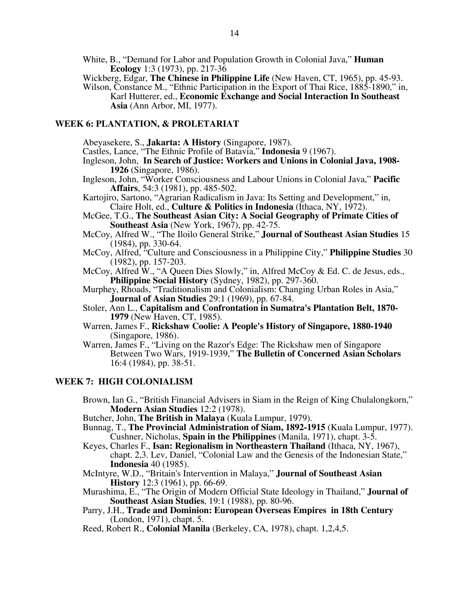White, B., "Demand for Labor and Population Growth in Colonial Java," **Human Ecology** 1:3 (1973), pp. 217-36

Wickberg, Edgar, **The Chinese in Philippine Life** (New Haven, CT, 1965), pp. 45-93. Wilson, Constance M., "Ethnic Participation in the Export of Thai Rice, 1885-1890," in,

Karl Hutterer, ed., **Economic Exchange and Social Interaction In Southeast Asia** (Ann Arbor, MI, 1977).

# **WEEK 6: PLANTATION, & PROLETARIAT**

Abeyasekere, S., **Jakarta: A History** (Singapore, 1987).

Castles, Lance, "The Ethnic Profile of Batavia," **Indonesia** 9 (1967).

- Ingleson, John, **In Search of Justice: Workers and Unions in Colonial Java, 1908- 1926** (Singapore, 1986).
- Ingleson, John, "Worker Consciousness and Labour Unions in Colonial Java," **Pacific Affairs**, 54:3 (1981), pp. 485-502.

Kartojiro, Sartono, "Agrarian Radicalism in Java: Its Setting and Development," in, Claire Holt, ed., **Culture & Politics in Indonesia** (Ithaca, NY, 1972).

- McGee, T.G., **The Southeast Asian City: A Social Geography of Primate Cities of Southeast Asia** (New York, 1967), pp. 42-75.
- McCoy, Alfred W., "The Iloilo General Strike," **Journal of Southeast Asian Studies** 15 (1984), pp. 330-64.
- McCoy, Alfred, "Culture and Consciousness in a Philippine City," **Philippine Studies** 30 (1982), pp. 157-203.
- McCoy, Alfred W., "A Queen Dies Slowly," in, Alfred McCoy & Ed. C. de Jesus, eds., **Philippine Social History** (Sydney, 1982), pp. 297-360.
- Murphey, Rhoads, "Traditionalism and Colonialism: Changing Urban Roles in Asia," **Journal of Asian Studies** 29:1 (1969), pp. 67-84.
- Stoler, Ann L., **Capitalism and Confrontation in Sumatra's Plantation Belt, 1870- 1979** (New Haven, CT, 1985).
- Warren, James F., **Rickshaw Coolie: A People's History of Singapore, 1880-1940**  (Singapore, 1986).

Warren, James F., "Living on the Razor's Edge: The Rickshaw men of Singapore Between Two Wars, 1919-1939," **The Bulletin of Concerned Asian Scholars** 16:4 (1984), pp. 38-51.

## **WEEK 7: HIGH COLONIALISM**

- Brown, Ian G., "British Financial Advisers in Siam in the Reign of King Chulalongkorn," **Modern Asian Studies** 12:2 (1978).
- Butcher, John, **The British in Malaya** (Kuala Lumpur, 1979).
- Bunnag, T., **The Provincial Administration of Siam, 1892-1915** (Kuala Lumpur, 1977). Cushner, Nicholas, **Spain in the Philippines** (Manila, 1971), chapt. 3-5.
- Keyes, Charles F., **Isan: Regionalism in Northeastern Thailand** (Ithaca, NY, 1967), chapt. 2,3. Lev, Daniel, "Colonial Law and the Genesis of the Indonesian State," **Indonesia** 40 (1985).
- McIntyre, W.D., "Britain's Intervention in Malaya," **Journal of Southeast Asian History** 12:3 (1961), pp. 66-69.
- Murashima, E., "The Origin of Modern Official State Ideology in Thailand," **Journal of Southeast Asian Studies**, 19:1 (1988), pp. 80-96.
- Parry, J.H., **Trade and Dominion: European Overseas Empires in 18th Century** (London, 1971), chapt. 5.
- Reed, Robert R., **Colonial Manila** (Berkeley, CA, 1978), chapt. 1,2,4,5.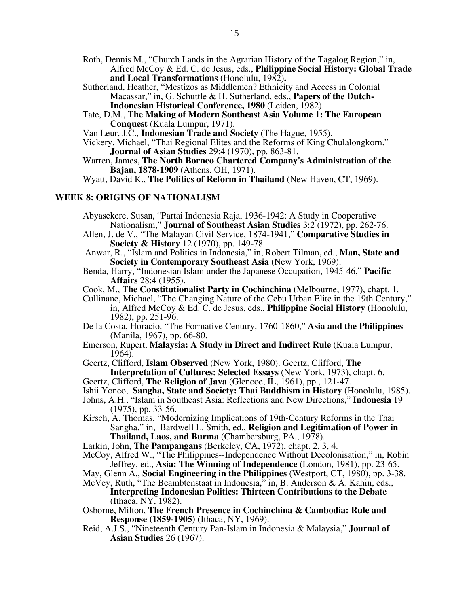- Roth, Dennis M., "Church Lands in the Agrarian History of the Tagalog Region," in, Alfred McCoy & Ed. C. de Jesus, eds., **Philippine Social History: Global Trade and Local Transformations** (Honolulu, 1982)**.**
- Sutherland, Heather, "Mestizos as Middlemen? Ethnicity and Access in Colonial Macassar," in, G. Schuttle & H. Sutherland, eds., **Papers of the Dutch-Indonesian Historical Conference, 1980** (Leiden, 1982).
- Tate, D.M., **The Making of Modern Southeast Asia Volume 1: The European Conquest** (Kuala Lumpur, 1971).

Van Leur, J.C., **Indonesian Trade and Society** (The Hague, 1955).

- Vickery, Michael, "Thai Regional Elites and the Reforms of King Chulalongkorn," **Journal of Asian Studies** 29:4 (1970), pp. 863-81.
- Warren, James, **The North Borneo Chartered Company's Administration of the Bajau, 1878-1909** (Athens, OH, 1971).

Wyatt, David K., **The Politics of Reform in Thailand** (New Haven, CT, 1969).

#### **WEEK 8: ORIGINS OF NATIONALISM**

- Abyasekere, Susan, "Partai Indonesia Raja, 1936-1942: A Study in Cooperative Nationalism," **Journal of Southeast Asian Studies** 3:2 (1972), pp. 262-76.
- Allen, J. de V., "The Malayan Civil Service, 1874-1941," **Comparative Studies in Society & History** 12 (1970), pp. 149-78.
- Anwar, R., "Islam and Politics in Indonesia," in, Robert Tilman, ed., **Man, State and Society in Contemporary Southeast Asia** (New York, 1969).
- Benda, Harry, "Indonesian Islam under the Japanese Occupation, 1945-46," **Pacific Affairs** 28:4 (1955).
- Cook, M., **The Constitutionalist Party in Cochinchina** (Melbourne, 1977), chapt. 1.
- Cullinane, Michael, "The Changing Nature of the Cebu Urban Elite in the 19th Century," in, Alfred McCoy & Ed. C. de Jesus, eds., **Philippine Social History** (Honolulu, 1982), pp. 251-96.
- De la Costa, Horacio, "The Formative Century, 1760-1860," **Asia and the Philippines**  (Manila, 1967), pp. 66-80.
- Emerson, Rupert, **Malaysia: A Study in Direct and Indirect Rule** (Kuala Lumpur, 1964).
- Geertz, Clifford, **Islam Observed** (New York, 1980). Geertz, Clifford, **The**
- **Interpretation of Cultures: Selected Essays** (New York, 1973), chapt. 6.
- Geertz, Clifford, **The Religion of Java** (Glencoe, IL, 1961), pp., 121-47.
- Ishii Yoneo, **Sangha, State and Society: Thai Buddhism in History** (Honolulu, 1985).
- Johns, A.H., "Islam in Southeast Asia: Reflections and New Directions," **Indonesia** 19 (1975), pp. 33-56.
- Kirsch, A. Thomas, "Modernizing Implications of 19th-Century Reforms in the Thai Sangha," in, Bardwell L. Smith, ed., **Religion and Legitimation of Power in Thailand, Laos, and Burma** (Chambersburg, PA., 1978).
- Larkin, John, **The Pampangans** (Berkeley, CA, 1972), chapt. 2, 3, 4.
- McCoy, Alfred W., "The Philippines--Independence Without Decolonisation," in, Robin Jeffrey, ed., **Asia: The Winning of Independence** (London, 1981), pp. 23-65.
- May, Glenn A., **Social Engineering in the Philippines** (Westport, CT, 1980), pp. 3-38. McVey, Ruth, "The Beambtenstaat in Indonesia," in, B. Anderson & A. Kahin, eds.,
	- **Interpreting Indonesian Politics: Thirteen Contributions to the Debate**  (Ithaca, NY, 1982).
- Osborne, Milton, **The French Presence in Cochinchina & Cambodia: Rule and Response (1859-1905)** (Ithaca, NY, 1969).
- Reid, A.J.S., "Nineteenth Century Pan-Islam in Indonesia & Malaysia," **Journal of Asian Studies** 26 (1967).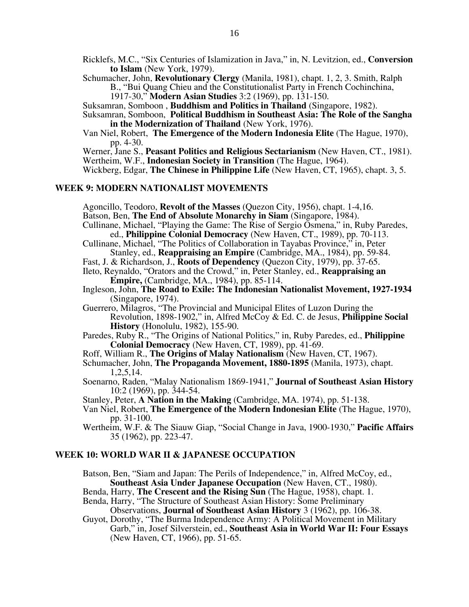Ricklefs, M.C., "Six Centuries of Islamization in Java," in, N. Levitzion, ed., **Conversion to Islam** (New York, 1979).

Schumacher, John, **Revolutionary Clergy** (Manila, 1981), chapt. 1, 2, 3. Smith, Ralph B., "Bui Quang Chieu and the Constitutionalist Party in French Cochinchina,

1917-30," **Modern Asian Studies** 3:2 (1969), pp. 131-150.

Suksamran, Somboon , **Buddhism and Politics in Thailand** (Singapore, 1982).

Suksamran, Somboon, **Political Buddhism in Southeast Asia: The Role of the Sangha in the Modernization of Thailand** (New York, 1976).

Van Niel, Robert, **The Emergence of the Modern Indonesia Elite** (The Hague, 1970), pp. 4-30.

Werner, Jane S., **Peasant Politics and Religious Sectarianism** (New Haven, CT., 1981). Wertheim, W.F., **Indonesian Society in Transition** (The Hague, 1964).

Wickberg, Edgar, **The Chinese in Philippine Life** (New Haven, CT, 1965), chapt. 3, 5.

#### **WEEK 9: MODERN NATIONALIST MOVEMENTS**

Agoncillo, Teodoro, **Revolt of the Masses** (Quezon City, 1956), chapt. 1-4,16. Batson, Ben, **The End of Absolute Monarchy in Siam** (Singapore, 1984).

- Cullinane, Michael, "Playing the Game: The Rise of Sergio Osmena," in, Ruby Paredes, ed., **Philippine Colonial Democracy** (New Haven, CT., 1989), pp. 70-113.
- Cullinane, Michael, "The Politics of Collaboration in Tayabas Province," in, Peter
- Stanley, ed., **Reappraising an Empire** (Cambridge, MA., 1984), pp. 59-84. Fast, J. & Richardson, J., **Roots of Dependency** (Quezon City, 1979), pp. 37-65.
- Ileto, Reynaldo, "Orators and the Crowd," in, Peter Stanley, ed., **Reappraising an**

**Empire,** (Cambridge, MA., 1984), pp. 85-114.

Ingleson, John, **The Road to Exile: The Indonesian Nationalist Movement, 1927-1934**  (Singapore, 1974).

Guerrero, Milagros, "The Provincial and Municipal Elites of Luzon During the Revolution, 1898-1902," in, Alfred McCoy & Ed. C. de Jesus, **Philippine Social History** (Honolulu, 1982), 155-90.

- Paredes, Ruby R., "The Origins of National Politics," in, Ruby Paredes, ed., **Philippine Colonial Democracy** (New Haven, CT, 1989), pp. 41-69.
- Roff, William R., **The Origins of Malay Nationalism** (New Haven, CT, 1967).
- Schumacher, John, **The Propaganda Movement, 1880-1895** (Manila, 1973), chapt. 1,2,5,14.
- Soenarno, Raden, "Malay Nationalism 1869-1941," **Journal of Southeast Asian History** 10:2 (1969), pp. 344-54.
- Stanley, Peter, **A Nation in the Making** (Cambridge, MA. 1974), pp. 51-138.
- Van Niel, Robert, **The Emergence of the Modern Indonesian Elite** (The Hague, 1970), pp. 31-100.
- Wertheim, W.F. & The Siauw Giap, "Social Change in Java, 1900-1930," **Pacific Affairs**  35 (1962), pp. 223-47.

#### **WEEK 10: WORLD WAR II & JAPANESE OCCUPATION**

Batson, Ben, "Siam and Japan: The Perils of Independence," in, Alfred McCoy, ed., **Southeast Asia Under Japanese Occupation** (New Haven, CT., 1980).

Benda, Harry, **The Crescent and the Rising Sun** (The Hague, 1958), chapt. 1.

- Benda, Harry, "The Structure of Southeast Asian History: Some Preliminary Observations, **Journal of Southeast Asian History** 3 (1962), pp. 106-38.
- Guyot, Dorothy, "The Burma Independence Army: A Political Movement in Military Garb," in, Josef Silverstein, ed., **Southeast Asia in World War II: Four Essays**  (New Haven, CT, 1966), pp. 51-65.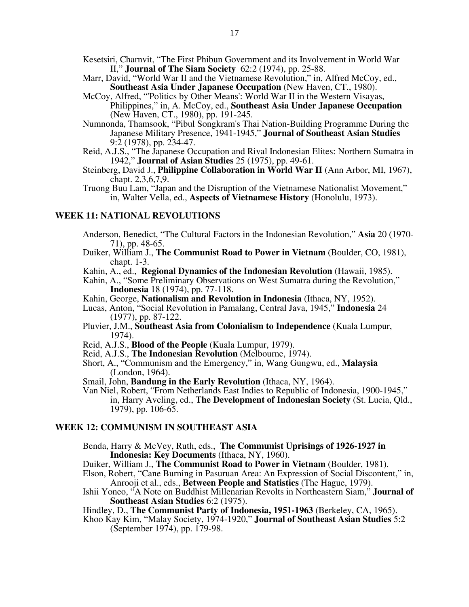- Kesetsiri, Charnvit, "The First Phibun Government and its Involvement in World War II," **Journal of The Siam Society** 62:2 (1974), pp. 25-88.
- Marr, David, "World War II and the Vietnamese Revolution," in, Alfred McCoy, ed., **Southeast Asia Under Japanese Occupation** (New Haven, CT., 1980).
- McCoy, Alfred, "'Politics by Other Means': World War II in the Western Visayas, Philippines," in, A. McCoy, ed., **Southeast Asia Under Japanese Occupation**  (New Haven, CT., 1980), pp. 191-245.
- Numnonda, Thamsook, "Pibul Songkram's Thai Nation-Building Programme During the Japanese Military Presence, 1941-1945," **Journal of Southeast Asian Studies** 9:2 (1978), pp. 234-47.
- Reid, A.J.S., "The Japanese Occupation and Rival Indonesian Elites: Northern Sumatra in 1942," **Journal of Asian Studies** 25 (1975), pp. 49-61.
- Steinberg, David J., **Philippine Collaboration in World War II** (Ann Arbor, MI, 1967), chapt. 2,3,6,7,9.
- Truong Buu Lam, "Japan and the Disruption of the Vietnamese Nationalist Movement," in, Walter Vella, ed., **Aspects of Vietnamese History** (Honolulu, 1973).

#### **WEEK 11: NATIONAL REVOLUTIONS**

- Anderson, Benedict, "The Cultural Factors in the Indonesian Revolution," **Asia** 20 (1970- 71), pp. 48-65.
- Duiker, William J., **The Communist Road to Power in Vietnam** (Boulder, CO, 1981), chapt. 1-3.
- Kahin, A., ed., **Regional Dynamics of the Indonesian Revolution** (Hawaii, 1985).
- Kahin, A., "Some Preliminary Observations on West Sumatra during the Revolution," **Indonesia** 18 (1974), pp. 77-118.
- Kahin, George, **Nationalism and Revolution in Indonesia** (Ithaca, NY, 1952).
- Lucas, Anton, "Social Revolution in Pamalang, Central Java, 1945," **Indonesia** 24 (1977), pp. 87-122.
- Pluvier, J.M., **Southeast Asia from Colonialism to Independence** (Kuala Lumpur, 1974).
- Reid, A.J.S., **Blood of the People** (Kuala Lumpur, 1979).
- Reid, A.J.S., **The Indonesian Revolution** (Melbourne, 1974).
- Short, A., "Communism and the Emergency," in, Wang Gungwu, ed., **Malaysia**  (London, 1964).
- Smail, John, **Bandung in the Early Revolution** (Ithaca, NY, 1964).
- Van Niel, Robert, "From Netherlands East Indies to Republic of Indonesia, 1900-1945," in, Harry Aveling, ed., **The Development of Indonesian Society** (St. Lucia, Qld., 1979), pp. 106-65.

#### **WEEK 12: COMMUNISM IN SOUTHEAST ASIA**

- Benda, Harry & McVey, Ruth, eds., **The Communist Uprisings of 1926-1927 in Indonesia: Key Documents** (Ithaca, NY, 1960).
- Duiker, William J., **The Communist Road to Power in Vietnam** (Boulder, 1981).
- Elson, Robert, "Cane Burning in Pasuruan Area: An Expression of Social Discontent," in, Anrooji et al., eds., **Between People and Statistics** (The Hague, 1979).
- Ishii Yoneo, "A Note on Buddhist Millenarian Revolts in Northeastern Siam," **Journal of Southeast Asian Studies** 6:2 (1975).
- Hindley, D., **The Communist Party of Indonesia, 1951-1963** (Berkeley, CA, 1965). Khoo Kay Kim, "Malay Society, 1974-1920," **Journal of Southeast Asian Studies** 5:2
- (September 1974), pp. 179-98.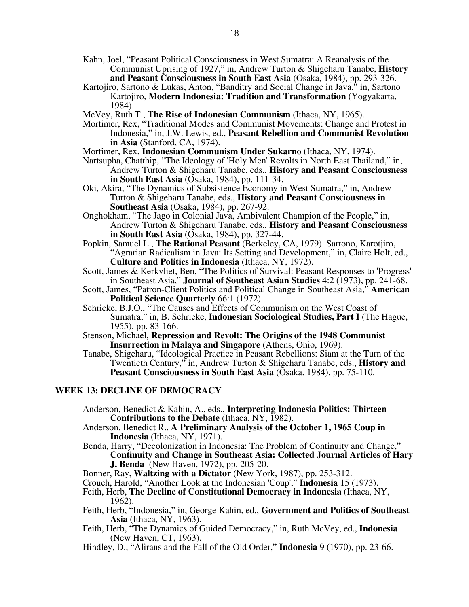- Kahn, Joel, "Peasant Political Consciousness in West Sumatra: A Reanalysis of the Communist Uprising of 1927," in, Andrew Turton & Shigeharu Tanabe, **History and Peasant Consciousness in South East Asia** (Osaka, 1984), pp. 293-326.
- Kartojiro, Sartono & Lukas, Anton, "Banditry and Social Change in Java," in, Sartono Kartojiro, **Modern Indonesia: Tradition and Transformation** (Yogyakarta, 1984).
- McVey, Ruth T., **The Rise of Indonesian Communism** (Ithaca, NY, 1965).
- Mortimer, Rex, "Traditional Modes and Communist Movements: Change and Protest in Indonesia," in, J.W. Lewis, ed., **Peasant Rebellion and Communist Revolution in Asia** (Stanford, CA, 1974).
- Mortimer, Rex, **Indonesian Communism Under Sukarno** (Ithaca, NY, 1974).
- Nartsupha, Chatthip, "The Ideology of 'Holy Men' Revolts in North East Thailand," in, Andrew Turton & Shigeharu Tanabe, eds., **History and Peasant Consciousness in South East Asia** (Osaka, 1984), pp. 111-34.
- Oki, Akira, "The Dynamics of Subsistence Economy in West Sumatra," in, Andrew Turton & Shigeharu Tanabe, eds., **History and Peasant Consciousness in Southeast Asia** (Osaka, 1984), pp. 267-92.
- Onghokham, "The Jago in Colonial Java, Ambivalent Champion of the People," in, Andrew Turton & Shigeharu Tanabe, eds., **History and Peasant Consciousness in South East Asia** (Osaka, 1984), pp. 327-44.
- Popkin, Samuel L., **The Rational Peasant** (Berkeley, CA, 1979). Sartono, Karotjiro, "Agrarian Radicalism in Java: Its Setting and Development," in, Claire Holt, ed., **Culture and Politics in Indonesia** (Ithaca, NY, 1972).
- Scott, James & Kerkvliet, Ben, "The Politics of Survival: Peasant Responses to 'Progress' in Southeast Asia," **Journal of Southeast Asian Studies** 4:2 (1973), pp. 241-68.
- Scott, James, "Patron-Client Politics and Political Change in Southeast Asia," **American Political Science Quarterly** 66:1 (1972).
- Schrieke, B.J.O., "The Causes and Effects of Communism on the West Coast of Sumatra," in, B. Schrieke, **Indonesian Sociological Studies, Part I** (The Hague, 1955), pp. 83-166.
- Stenson, Michael, **Repression and Revolt: The Origins of the 1948 Communist Insurrection in Malaya and Singapore** (Athens, Ohio, 1969).
- Tanabe, Shigeharu, "Ideological Practice in Peasant Rebellions: Siam at the Turn of the Twentieth Century," in, Andrew Turton & Shigeharu Tanabe, eds., **History and**  Peasant Consciousness in South East Asia (Osaka, 1984), pp. 75-110.

#### **WEEK 13: DECLINE OF DEMOCRACY**

- Anderson, Benedict & Kahin, A., eds., **Interpreting Indonesia Politics: Thirteen Contributions to the Debate** (Ithaca, NY, 1982).
- Anderson, Benedict R., **A Preliminary Analysis of the October 1, 1965 Coup in Indonesia** (Ithaca, NY, 1971).
- Benda, Harry, "Decolonization in Indonesia: The Problem of Continuity and Change," **Continuity and Change in Southeast Asia: Collected Journal Articles of Hary J. Benda** (New Haven, 1972), pp. 205-20.
- Bonner, Ray, **Waltzing with a Dictator** (New York, 1987), pp. 253-312.
- Crouch, Harold, "Another Look at the Indonesian 'Coup'," **Indonesia** 15 (1973).
- Feith, Herb, **The Decline of Constitutional Democracy in Indonesia** (Ithaca, NY, 1962).
- Feith, Herb, "Indonesia," in, George Kahin, ed., **Government and Politics of Southeast Asia** (Ithaca, NY, 1963).
- Feith, Herb, "The Dynamics of Guided Democracy," in, Ruth McVey, ed., **Indonesia**  (New Haven, CT, 1963).
- Hindley, D., "Alirans and the Fall of the Old Order," **Indonesia** 9 (1970), pp. 23-66.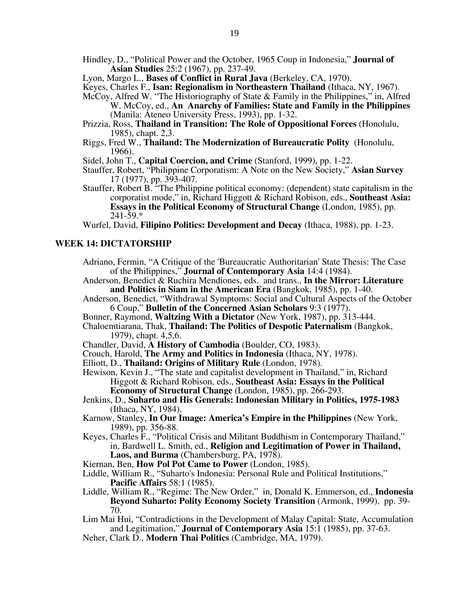Hindley, D., "Political Power and the October, 1965 Coup in Indonesia," **Journal of Asian Studies** 25:2 (1967), pp. 237-49.

Lyon, Margo L., **Bases of Conflict in Rural Java** (Berkeley, CA, 1970).

- McCoy, Alfred W. "The Historiography of State & Family in the Philippines," in, Alfred
	- W. McCoy, ed., **An Anarchy of Families: State and Family in the Philippines**  (Manila: Ateneo University Press, 1993), pp. 1-32.
- Prizzia, Ross, **Thailand in Transition: The Role of Oppositional Forces** (Honolulu, 1985), chapt. 2,3.
- Riggs, Fred W., **Thailand: The Modernization of Bureaucratic Polity** (Honolulu, 1966).
- Sidel, John T., **Capital Coercion, and Crime** (Stanford, 1999), pp. 1-22.
- Stauffer, Robert, "Philippine Corporatism: A Note on the New Society," **Asian Survey** 17 (1977), pp. 393-407.
- Stauffer, Robert B. "The Philippine political economy: (dependent) state capitalism in the corporatist mode," in, Richard Higgott & Richard Robison, eds., **Southeast Asia: Essays in the Political Economy of Structural Change** (London, 1985), pp.  $241 - 59.*$

Wurfel, David, **Filipino Politics: Development and Decay** (Ithaca, 1988), pp. 1-23.

#### **WEEK 14: DICTATORSHIP**

- Adriano, Fermin, "A Critique of the 'Bureaucratic Authoritarian' State Thesis: The Case of the Philippines," **Journal of Contemporary Asia** 14:4 (1984).
- Anderson, Benedict & Ruchira Mendiones, eds. and trans., **In the Mirror: Literature and Politics in Siam in the American Era** (Bangkok, 1985), pp. 1-40.
- Anderson, Benedict, "Withdrawal Symptoms: Social and Cultural Aspects of the October 6 Coup," **Bulletin of the Concerned Asian Scholars** 9:3 (1977).
- Bonner, Raymond, **Waltzing With a Dictator** (New York, 1987), pp. 313-444.
- Chaloemtiarana, Thak, **Thailand: The Politics of Despotic Paternalism** (Bangkok, 1979), chapt. 4,5,6.
- Chandler, David, **A History of Cambodia** (Boulder, CO, 1983).
- Crouch, Harold, **The Army and Politics in Indonesia** (Ithaca, NY, 1978).
- Elliott, D., **Thailand: Origins of Military Rule** (London, 1978).
- Hewison, Kevin J., "The state and capitalist development in Thailand," in, Richard Higgott & Richard Robison, eds., **Southeast Asia: Essays in the Political Economy of Structural Change** (London, 1985), pp. 266-293.
- Jenkins, D., **Suharto and His Generals: Indonesian Military in Politics, 1975-1983**  (Ithaca, NY, 1984).
- Karnow, Stanley, **In Our Image: America's Empire in the Philippines** (New York, 1989), pp. 356-88.
- Keyes, Charles F., "Political Crisis and Militant Buddhism in Contemporary Thailand," in, Bardwell L. Smith, ed., **Religion and Legitimation of Power in Thailand, Laos, and Burma** (Chambersburg, PA, 1978).
- Kiernan, Ben, **How Pol Pot Came to Power** (London, 1985).
- Liddle, William R., "Suharto's Indonesia: Personal Rule and Political Institutions," **Pacific Affairs** 58:1 (1985).
- Liddle, William R., "Regime: The New Order," in, Donald K. Emmerson, ed., **Indonesia Beyond Suharto: Polity Economy Society Transition** (Armonk, 1999), pp. 39- 70.
- Lim Mai Hui, "Contradictions in the Development of Malay Capital: State, Accumulation and Legitimation," **Journal of Contemporary Asia** 15:1 (1985), pp. 37-63.
- Neher, Clark D., **Modern Thai Politics** (Cambridge, MA, 1979).

Keyes, Charles F., **Isan: Regionalism in Northeastern Thailand** (Ithaca, NY, 1967).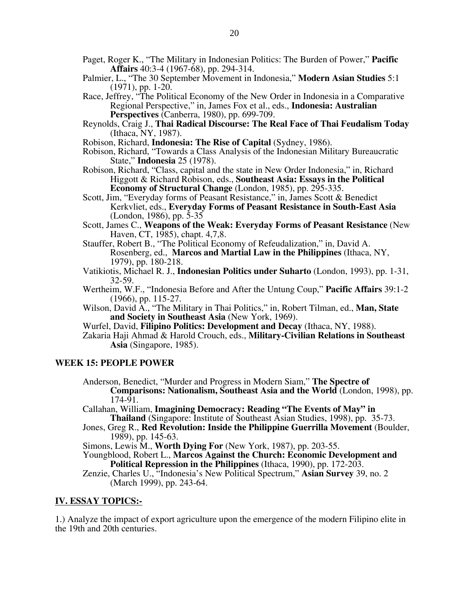- Paget, Roger K., "The Military in Indonesian Politics: The Burden of Power," **Pacific Affairs** 40:3-4 (1967-68), pp. 294-314.
- Palmier, L., "The 30 September Movement in Indonesia," **Modern Asian Studies** 5:1 (1971), pp. 1-20.
- Race, Jeffrey, "The Political Economy of the New Order in Indonesia in a Comparative Regional Perspective," in, James Fox et al., eds., **Indonesia: Australian Perspectives** (Canberra, 1980), pp. 699-709.
- Reynolds, Craig J., **Thai Radical Discourse: The Real Face of Thai Feudalism Today**  (Ithaca, NY, 1987).
- Robison, Richard, **Indonesia: The Rise of Capital** (Sydney, 1986).
- Robison, Richard, "Towards a Class Analysis of the Indonesian Military Bureaucratic State," **Indonesia** 25 (1978).
- Robison, Richard, "Class, capital and the state in New Order Indonesia," in, Richard Higgott & Richard Robison, eds., **Southeast Asia: Essays in the Political Economy of Structural Change** (London, 1985), pp. 295-335.
- Scott, Jim, "Everyday forms of Peasant Resistance," in, James Scott & Benedict Kerkvliet, eds., **Everyday Forms of Peasant Resistance in South-East Asia**  (London, 1986), pp. 5-35
- Scott, James C., **Weapons of the Weak: Everyday Forms of Peasant Resistance** (New Haven, CT, 1985), chapt. 4,7,8.
- Stauffer, Robert B., "The Political Economy of Refeudalization," in, David A. Rosenberg, ed., **Marcos and Martial Law in the Philippines** (Ithaca, NY, 1979), pp. 180-218.
- Vatikiotis, Michael R. J., **Indonesian Politics under Suharto** (London, 1993), pp. 1-31, 32-59.
- Wertheim, W.F., "Indonesia Before and After the Untung Coup," **Pacific Affairs** 39:1-2 (1966), pp. 115-27.
- Wilson, David A., "The Military in Thai Politics," in, Robert Tilman, ed., **Man, State and Society in Southeast Asia** (New York, 1969).
- Wurfel, David, **Filipino Politics: Development and Decay** (Ithaca, NY, 1988).
- Zakaria Haji Ahmad & Harold Crouch, eds., **Military-Civilian Relations in Southeast Asia** (Singapore, 1985).

#### **WEEK 15: PEOPLE POWER**

- Anderson, Benedict, "Murder and Progress in Modern Siam," **The Spectre of Comparisons: Nationalism, Southeast Asia and the World** (London, 1998), pp.  $174 - 91.$
- Callahan, William, **Imagining Democracy: Reading "The Events of May" in Thailand** (Singapore: Institute of Southeast Asian Studies, 1998), pp. 35-73.
- Jones, Greg R., **Red Revolution: Inside the Philippine Guerrilla Movement** (Boulder, 1989), pp. 145-63.
- Simons, Lewis M., **Worth Dying For** (New York, 1987), pp. 203-55.
- Youngblood, Robert L., **Marcos Against the Church: Economic Development and Political Repression in the Philippines** (Ithaca, 1990), pp. 172-203.
- Zenzie, Charles U., "Indonesia's New Political Spectrum," **Asian Survey** 39, no. 2 (March 1999), pp. 243-64.

#### **IV. ESSAY TOPICS:-**

1.) Analyze the impact of export agriculture upon the emergence of the modern Filipino elite in the 19th and 20th centuries.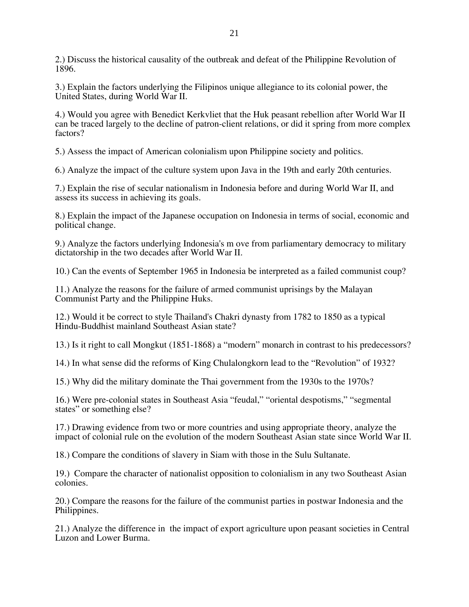2.) Discuss the historical causality of the outbreak and defeat of the Philippine Revolution of 1896.

3.) Explain the factors underlying the Filipinos unique allegiance to its colonial power, the United States, during World War II.

4.) Would you agree with Benedict Kerkvliet that the Huk peasant rebellion after World War II can be traced largely to the decline of patron-client relations, or did it spring from more complex factors?

5.) Assess the impact of American colonialism upon Philippine society and politics.

6.) Analyze the impact of the culture system upon Java in the 19th and early 20th centuries.

7.) Explain the rise of secular nationalism in Indonesia before and during World War II, and assess its success in achieving its goals.

8.) Explain the impact of the Japanese occupation on Indonesia in terms of social, economic and political change.

9.) Analyze the factors underlying Indonesia's m ove from parliamentary democracy to military dictatorship in the two decades after World War II.

10.) Can the events of September 1965 in Indonesia be interpreted as a failed communist coup?

11.) Analyze the reasons for the failure of armed communist uprisings by the Malayan Communist Party and the Philippine Huks.

12.) Would it be correct to style Thailand's Chakri dynasty from 1782 to 1850 as a typical Hindu-Buddhist mainland Southeast Asian state?

13.) Is it right to call Mongkut (1851-1868) a "modern" monarch in contrast to his predecessors?

14.) In what sense did the reforms of King Chulalongkorn lead to the "Revolution" of 1932?

15.) Why did the military dominate the Thai government from the 1930s to the 1970s?

16.) Were pre-colonial states in Southeast Asia "feudal," "oriental despotisms," "segmental states" or something else?

17.) Drawing evidence from two or more countries and using appropriate theory, analyze the impact of colonial rule on the evolution of the modern Southeast Asian state since World War II.

18.) Compare the conditions of slavery in Siam with those in the Sulu Sultanate.

19.) Compare the character of nationalist opposition to colonialism in any two Southeast Asian colonies.

20.) Compare the reasons for the failure of the communist parties in postwar Indonesia and the Philippines.

21.) Analyze the difference in the impact of export agriculture upon peasant societies in Central Luzon and Lower Burma.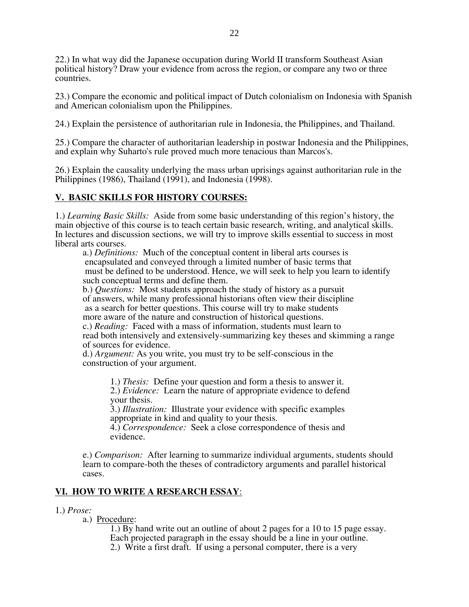22.) In what way did the Japanese occupation during World II transform Southeast Asian political history? Draw your evidence from across the region, or compare any two or three countries.

23.) Compare the economic and political impact of Dutch colonialism on Indonesia with Spanish and American colonialism upon the Philippines.

24.) Explain the persistence of authoritarian rule in Indonesia, the Philippines, and Thailand.

25.) Compare the character of authoritarian leadership in postwar Indonesia and the Philippines, and explain why Suharto's rule proved much more tenacious than Marcos's.

26.) Explain the causality underlying the mass urban uprisings against authoritarian rule in the Philippines (1986), Thailand (1991), and Indonesia (1998).

# **V. BASIC SKILLS FOR HISTORY COURSES:**

1.) *Learning Basic Skills:* Aside from some basic understanding of this region's history, the main objective of this course is to teach certain basic research, writing, and analytical skills. In lectures and discussion sections, we will try to improve skills essential to success in most liberal arts courses.

a.) *Definitions:* Much of the conceptual content in liberal arts courses is encapsulated and conveyed through a limited number of basic terms that must be defined to be understood. Hence, we will seek to help you learn to identify such conceptual terms and define them.

b.) *Questions:* Most students approach the study of history as a pursuit of answers, while many professional historians often view their discipline as a search for better questions. This course will try to make students more aware of the nature and construction of historical questions.

c.) *Reading:* Faced with a mass of information, students must learn to read both intensively and extensively-summarizing key theses and skimming a range of sources for evidence.

d.) *Argument:* As you write, you must try to be self-conscious in the construction of your argument.

> 1.) *Thesis:* Define your question and form a thesis to answer it. 2.) *Evidence:* Learn the nature of appropriate evidence to defend your thesis.

3.) *Illustration:* Illustrate your evidence with specific examples appropriate in kind and quality to your thesis.

4.) *Correspondence:* Seek a close correspondence of thesis and evidence.

e.) *Comparison:* After learning to summarize individual arguments, students should learn to compare-both the theses of contradictory arguments and parallel historical cases.

# **VI. HOW TO WRITE A RESEARCH ESSAY**:

- 1.) *Prose:* 
	- a.) Procedure:

1.) By hand write out an outline of about 2 pages for a 10 to 15 page essay. Each projected paragraph in the essay should be a line in your outline. 2.) Write a first draft. If using a personal computer, there is a very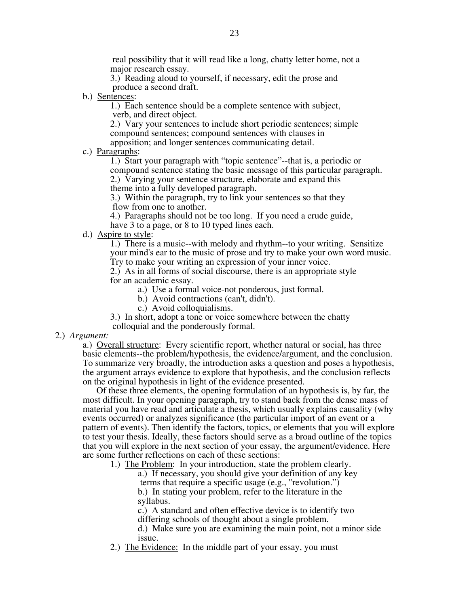real possibility that it will read like a long, chatty letter home, not a major research essay.

3.) Reading aloud to yourself, if necessary, edit the prose and produce a second draft.

b.) Sentences:

1.) Each sentence should be a complete sentence with subject, verb, and direct object.

2.) Vary your sentences to include short periodic sentences; simple compound sentences; compound sentences with clauses in apposition; and longer sentences communicating detail.

c.) Paragraphs:

1.) Start your paragraph with "topic sentence"--that is, a periodic or compound sentence stating the basic message of this particular paragraph. 2.) Varying your sentence structure, elaborate and expand this theme into a fully developed paragraph.

3.) Within the paragraph, try to link your sentences so that they flow from one to another.

4.) Paragraphs should not be too long. If you need a crude guide,

have 3 to a page, or 8 to 10 typed lines each.

d.) Aspire to style:

1.) There is a music--with melody and rhythm--to your writing. Sensitize your mind's ear to the music of prose and try to make your own word music. Try to make your writing an expression of your inner voice.

2.) As in all forms of social discourse, there is an appropriate style for an academic essay.

a.) Use a formal voice-not ponderous, just formal.

b.) Avoid contractions (can't, didn't).

- c.) Avoid colloquialisms.
- 3.) In short, adopt a tone or voice somewhere between the chatty
- colloquial and the ponderously formal.
- 2.) *Argument:*

a.) Overall structure: Every scientific report, whether natural or social, has three basic elements--the problem/hypothesis, the evidence/argument, and the conclusion. To summarize very broadly, the introduction asks a question and poses a hypothesis, the argument arrays evidence to explore that hypothesis, and the conclusion reflects on the original hypothesis in light of the evidence presented.

 Of these three elements, the opening formulation of an hypothesis is, by far, the most difficult. In your opening paragraph, try to stand back from the dense mass of material you have read and articulate a thesis, which usually explains causality (why events occurred) or analyzes significance (the particular import of an event or a pattern of events). Then identify the factors, topics, or elements that you will explore to test your thesis. Ideally, these factors should serve as a broad outline of the topics that you will explore in the next section of your essay, the argument/evidence. Here are some further reflections on each of these sections:

1.) The Problem: In your introduction, state the problem clearly.

a.) If necessary, you should give your definition of any key terms that require a specific usage (e.g., "revolution.")

b.) In stating your problem, refer to the literature in the syllabus.

c.) A standard and often effective device is to identify two differing schools of thought about a single problem.

d.) Make sure you are examining the main point, not a minor side issue.

2.) The Evidence: In the middle part of your essay, you must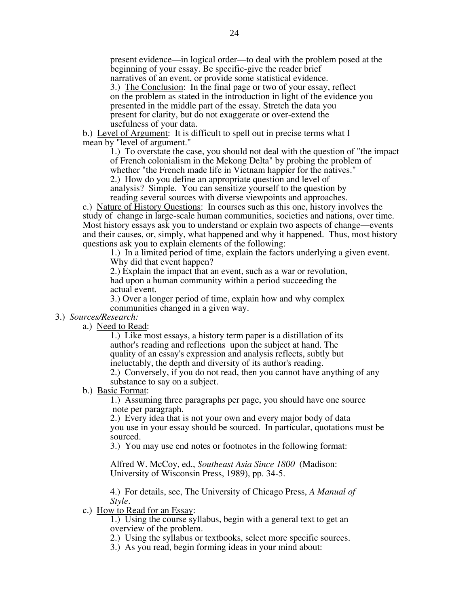present evidence—in logical order—to deal with the problem posed at the beginning of your essay. Be specific-give the reader brief narratives of an event, or provide some statistical evidence. 3.) The Conclusion: In the final page or two of your essay, reflect

on the problem as stated in the introduction in light of the evidence you presented in the middle part of the essay. Stretch the data you present for clarity, but do not exaggerate or over-extend the usefulness of your data.

b.) Level of Argument: It is difficult to spell out in precise terms what I mean by "level of argument."

1.) To overstate the case, you should not deal with the question of "the impact of French colonialism in the Mekong Delta" by probing the problem of whether "the French made life in Vietnam happier for the natives." 2.) How do you define an appropriate question and level of analysis? Simple. You can sensitize yourself to the question by

reading several sources with diverse viewpoints and approaches.

c.) Nature of History Questions: In courses such as this one, history involves the study of change in large-scale human communities, societies and nations, over time. Most history essays ask you to understand or explain two aspects of change—events and their causes, or, simply, what happened and why it happened. Thus, most history questions ask you to explain elements of the following:

1.) In a limited period of time, explain the factors underlying a given event. Why did that event happen?

2.) Explain the impact that an event, such as a war or revolution, had upon a human community within a period succeeding the actual event.

3.) Over a longer period of time, explain how and why complex communities changed in a given way.

#### 3.) *Sources/Research:*

a.) Need to Read:

1.) Like most essays, a history term paper is a distillation of its author's reading and reflections upon the subject at hand. The quality of an essay's expression and analysis reflects, subtly but ineluctably, the depth and diversity of its author's reading.

2.) Conversely, if you do not read, then you cannot have anything of any substance to say on a subject.

b.) Basic Format:

1.) Assuming three paragraphs per page, you should have one source note per paragraph.

2.) Every idea that is not your own and every major body of data you use in your essay should be sourced. In particular, quotations must be sourced.

3.) You may use end notes or footnotes in the following format:

Alfred W. McCoy, ed., *Southeast Asia Since 1800* (Madison: University of Wisconsin Press, 1989), pp. 34-5.

4.) For details, see, The University of Chicago Press, *A Manual of Style*.

c.) How to Read for an Essay:

1.) Using the course syllabus, begin with a general text to get an overview of the problem.

2.) Using the syllabus or textbooks, select more specific sources.

3.) As you read, begin forming ideas in your mind about: